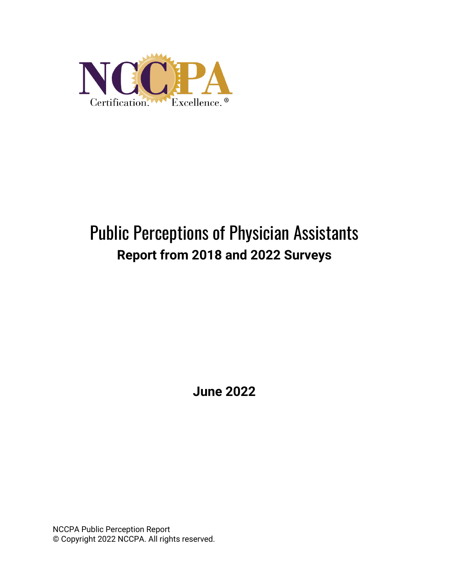

# Public Perceptions of Physician Assistants **Report from 2018 and 2022 Surveys**

**June 2022**

NCCPA Public Perception Report © Copyright 2022 NCCPA. All rights reserved.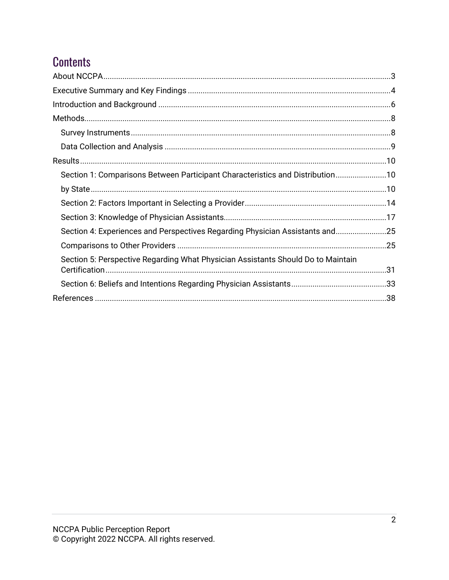## **Contents**

| Section 1: Comparisons Between Participant Characteristics and Distribution10    |  |
|----------------------------------------------------------------------------------|--|
|                                                                                  |  |
|                                                                                  |  |
|                                                                                  |  |
| Section 4: Experiences and Perspectives Regarding Physician Assistants and25     |  |
|                                                                                  |  |
| Section 5: Perspective Regarding What Physician Assistants Should Do to Maintain |  |
|                                                                                  |  |
|                                                                                  |  |
|                                                                                  |  |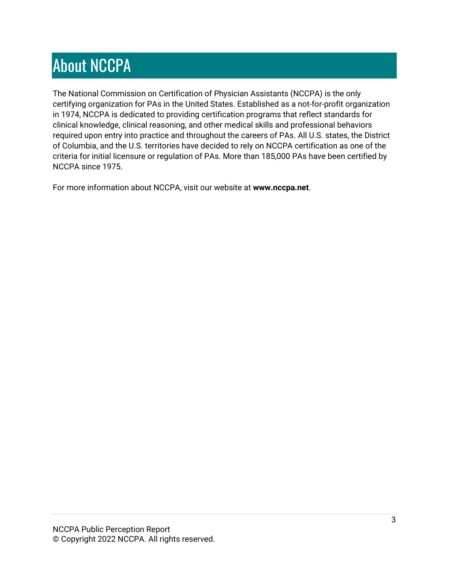# <span id="page-2-0"></span>About NCCPA

The National Commission on Certification of Physician Assistants (NCCPA) is the only certifying organization for PAs in the United States. Established as a not-for-profit organization in 1974, NCCPA is dedicated to providing certification programs that reflect standards for clinical knowledge, clinical reasoning, and other medical skills and professional behaviors required upon entry into practice and throughout the careers of PAs. All U.S. states, the District of Columbia, and the U.S. territories have decided to rely on NCCPA certification as one of the criteria for initial licensure or regulation of PAs. More than 185,000 PAs have been certified by NCCPA since 1975.

For more information about NCCPA, visit our website at **www.nccpa.net**.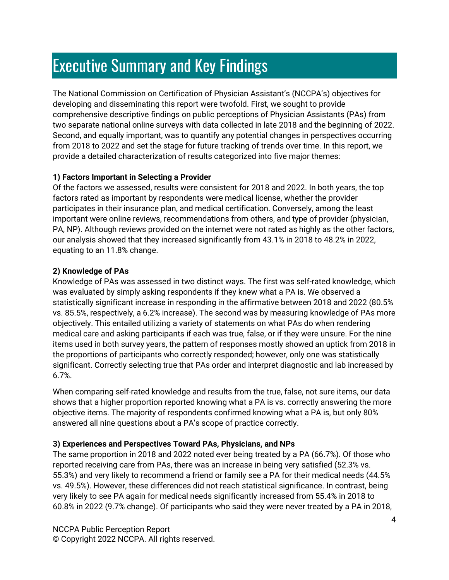## <span id="page-3-0"></span>Executive Summary and Key Findings

The National Commission on Certification of Physician Assistant's (NCCPA's) objectives for developing and disseminating this report were twofold. First, we sought to provide comprehensive descriptive findings on public perceptions of Physician Assistants (PAs) from two separate national online surveys with data collected in late 2018 and the beginning of 2022. Second, and equally important, was to quantify any potential changes in perspectives occurring from 2018 to 2022 and set the stage for future tracking of trends over time. In this report, we provide a detailed characterization of results categorized into five major themes:

#### **1) Factors Important in Selecting a Provider**

Of the factors we assessed, results were consistent for 2018 and 2022. In both years, the top factors rated as important by respondents were medical license, whether the provider participates in their insurance plan, and medical certification. Conversely, among the least important were online reviews, recommendations from others, and type of provider (physician, PA, NP). Although reviews provided on the internet were not rated as highly as the other factors, our analysis showed that they increased significantly from 43.1% in 2018 to 48.2% in 2022, equating to an 11.8% change.

#### **2) Knowledge of PAs**

Knowledge of PAs was assessed in two distinct ways. The first was self-rated knowledge, which was evaluated by simply asking respondents if they knew what a PA is. We observed a statistically significant increase in responding in the affirmative between 2018 and 2022 (80.5% vs. 85.5%, respectively, a 6.2% increase). The second was by measuring knowledge of PAs more objectively. This entailed utilizing a variety of statements on what PAs do when rendering medical care and asking participants if each was true, false, or if they were unsure. For the nine items used in both survey years, the pattern of responses mostly showed an uptick from 2018 in the proportions of participants who correctly responded; however, only one was statistically significant. Correctly selecting true that PAs order and interpret diagnostic and lab increased by 6.7%.

When comparing self-rated knowledge and results from the true, false, not sure items, our data shows that a higher proportion reported knowing what a PA is vs. correctly answering the more objective items. The majority of respondents confirmed knowing what a PA is, but only 80% answered all nine questions about a PA's scope of practice correctly.

#### **3) Experiences and Perspectives Toward PAs, Physicians, and NPs**

The same proportion in 2018 and 2022 noted ever being treated by a PA (66.7%). Of those who reported receiving care from PAs, there was an increase in being very satisfied (52.3% vs. 55.3%) and very likely to recommend a friend or family see a PA for their medical needs (44.5% vs. 49.5%). However, these differences did not reach statistical significance. In contrast, being very likely to see PA again for medical needs significantly increased from 55.4% in 2018 to 60.8% in 2022 (9.7% change). Of participants who said they were never treated by a PA in 2018,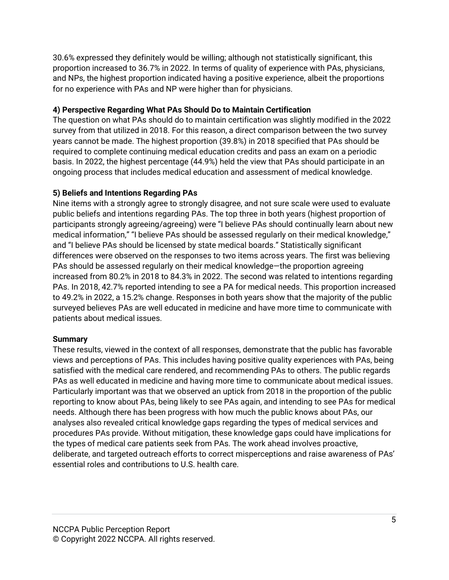30.6% expressed they definitely would be willing; although not statistically significant, this proportion increased to 36.7% in 2022. In terms of quality of experience with PAs, physicians, and NPs, the highest proportion indicated having a positive experience, albeit the proportions for no experience with PAs and NP were higher than for physicians.

#### **4) Perspective Regarding What PAs Should Do to Maintain Certification**

The question on what PAs should do to maintain certification was slightly modified in the 2022 survey from that utilized in 2018. For this reason, a direct comparison between the two survey years cannot be made. The highest proportion (39.8%) in 2018 specified that PAs should be required to complete continuing medical education credits and pass an exam on a periodic basis. In 2022, the highest percentage (44.9%) held the view that PAs should participate in an ongoing process that includes medical education and assessment of medical knowledge.

#### **5) Beliefs and Intentions Regarding PAs**

Nine items with a strongly agree to strongly disagree, and not sure scale were used to evaluate public beliefs and intentions regarding PAs. The top three in both years (highest proportion of participants strongly agreeing/agreeing) were "I believe PAs should continually learn about new medical information," "I believe PAs should be assessed regularly on their medical knowledge," and "I believe PAs should be licensed by state medical boards." Statistically significant differences were observed on the responses to two items across years. The first was believing PAs should be assessed regularly on their medical knowledge—the proportion agreeing increased from 80.2% in 2018 to 84.3% in 2022. The second was related to intentions regarding PAs. In 2018, 42.7% reported intending to see a PA for medical needs. This proportion increased to 49.2% in 2022, a 15.2% change. Responses in both years show that the majority of the public surveyed believes PAs are well educated in medicine and have more time to communicate with patients about medical issues.

#### **Summary**

These results, viewed in the context of all responses, demonstrate that the public has favorable views and perceptions of PAs. This includes having positive quality experiences with PAs, being satisfied with the medical care rendered, and recommending PAs to others. The public regards PAs as well educated in medicine and having more time to communicate about medical issues. Particularly important was that we observed an uptick from 2018 in the proportion of the public reporting to know about PAs, being likely to see PAs again, and intending to see PAs for medical needs. Although there has been progress with how much the public knows about PAs, our analyses also revealed critical knowledge gaps regarding the types of medical services and procedures PAs provide. Without mitigation, these knowledge gaps could have implications for the types of medical care patients seek from PAs. The work ahead involves proactive, deliberate, and targeted outreach efforts to correct misperceptions and raise awareness of PAs' essential roles and contributions to U.S. health care.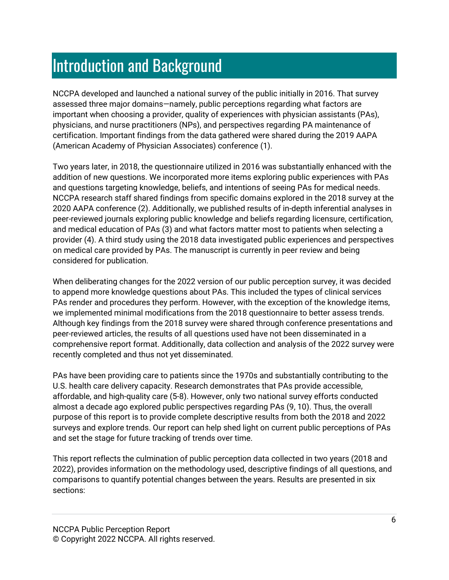## <span id="page-5-0"></span>Introduction and Background

NCCPA developed and launched a national survey of the public initially in 2016. That survey assessed three major domains—namely, public perceptions regarding what factors are important when choosing a provider, quality of experiences with physician assistants (PAs), physicians, and nurse practitioners (NPs), and perspectives regarding PA maintenance of certification. Important findings from the data gathered were shared during the 2019 AAPA (American Academy of Physician Associates) conference (1).

Two years later, in 2018, the questionnaire utilized in 2016 was substantially enhanced with the addition of new questions. We incorporated more items exploring public experiences with PAs and questions targeting knowledge, beliefs, and intentions of seeing PAs for medical needs. NCCPA research staff shared findings from specific domains explored in the 2018 survey at the 2020 AAPA conference (2). Additionally, we published results of in-depth inferential analyses in peer-reviewed journals exploring public knowledge and beliefs regarding licensure, certification, and medical education of PAs (3) and what factors matter most to patients when selecting a provider (4). A third study using the 2018 data investigated public experiences and perspectives on medical care provided by PAs. The manuscript is currently in peer review and being considered for publication.

When deliberating changes for the 2022 version of our public perception survey, it was decided to append more knowledge questions about PAs. This included the types of clinical services PAs render and procedures they perform. However, with the exception of the knowledge items, we implemented minimal modifications from the 2018 questionnaire to better assess trends. Although key findings from the 2018 survey were shared through conference presentations and peer-reviewed articles, the results of all questions used have not been disseminated in a comprehensive report format. Additionally, data collection and analysis of the 2022 survey were recently completed and thus not yet disseminated.

PAs have been providing care to patients since the 1970s and substantially contributing to the U.S. health care delivery capacity. Research demonstrates that PAs provide accessible, affordable, and high-quality care (5-8). However, only two national survey efforts conducted almost a decade ago explored public perspectives regarding PAs (9, 10). Thus, the overall purpose of this report is to provide complete descriptive results from both the 2018 and 2022 surveys and explore trends. Our report can help shed light on current public perceptions of PAs and set the stage for future tracking of trends over time.

This report reflects the culmination of public perception data collected in two years (2018 and 2022), provides information on the methodology used, descriptive findings of all questions, and comparisons to quantify potential changes between the years. Results are presented in six sections: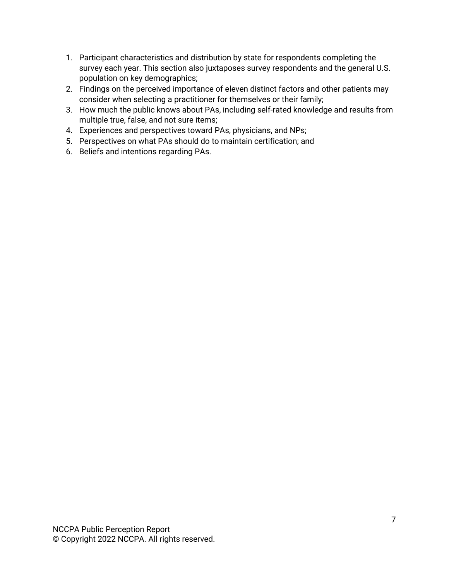- 1. Participant characteristics and distribution by state for respondents completing the survey each year. This section also juxtaposes survey respondents and the general U.S. population on key demographics;
- 2. Findings on the perceived importance of eleven distinct factors and other patients may consider when selecting a practitioner for themselves or their family;
- 3. How much the public knows about PAs, including self-rated knowledge and results from multiple true, false, and not sure items;
- 4. Experiences and perspectives toward PAs, physicians, and NPs;
- 5. Perspectives on what PAs should do to maintain certification; and
- 6. Beliefs and intentions regarding PAs.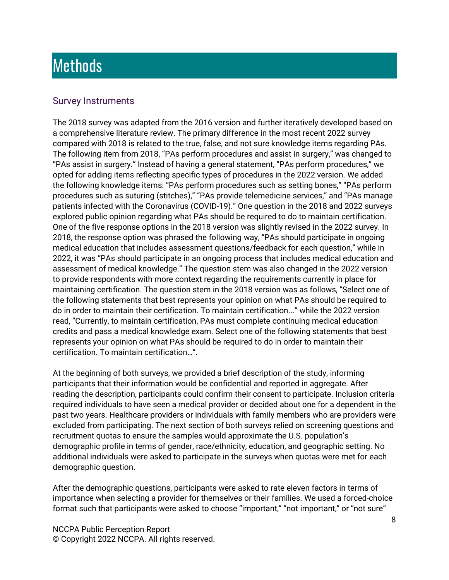## <span id="page-7-0"></span>**Methods**

#### <span id="page-7-1"></span>Survey Instruments

The 2018 survey was adapted from the 2016 version and further iteratively developed based on a comprehensive literature review. The primary difference in the most recent 2022 survey compared with 2018 is related to the true, false, and not sure knowledge items regarding PAs. The following item from 2018, "PAs perform procedures and assist in surgery," was changed to "PAs assist in surgery." Instead of having a general statement, "PAs perform procedures," we opted for adding items reflecting specific types of procedures in the 2022 version. We added the following knowledge items: "PAs perform procedures such as setting bones," "PAs perform procedures such as suturing (stitches)," "PAs provide telemedicine services," and "PAs manage patients infected with the Coronavirus (COVID-19)." One question in the 2018 and 2022 surveys explored public opinion regarding what PAs should be required to do to maintain certification. One of the five response options in the 2018 version was slightly revised in the 2022 survey. In 2018, the response option was phrased the following way, "PAs should participate in ongoing medical education that includes assessment questions/feedback for each question," while in 2022, it was "PAs should participate in an ongoing process that includes medical education and assessment of medical knowledge." The question stem was also changed in the 2022 version to provide respondents with more context regarding the requirements currently in place for maintaining certification. The question stem in the 2018 version was as follows, "Select one of the following statements that best represents your opinion on what PAs should be required to do in order to maintain their certification. To maintain certification..." while the 2022 version read, "Currently, to maintain certification, PAs must complete continuing medical education credits and pass a medical knowledge exam. Select one of the following statements that best represents your opinion on what PAs should be required to do in order to maintain their certification. To maintain certification…".

At the beginning of both surveys, we provided a brief description of the study, informing participants that their information would be confidential and reported in aggregate. After reading the description, participants could confirm their consent to participate. Inclusion criteria required individuals to have seen a medical provider or decided about one for a dependent in the past two years. Healthcare providers or individuals with family members who are providers were excluded from participating. The next section of both surveys relied on screening questions and recruitment quotas to ensure the samples would approximate the U.S. population's demographic profile in terms of gender, race/ethnicity, education, and geographic setting. No additional individuals were asked to participate in the surveys when quotas were met for each demographic question.

After the demographic questions, participants were asked to rate eleven factors in terms of importance when selecting a provider for themselves or their families. We used a forced-choice format such that participants were asked to choose "important," "not important," or "not sure"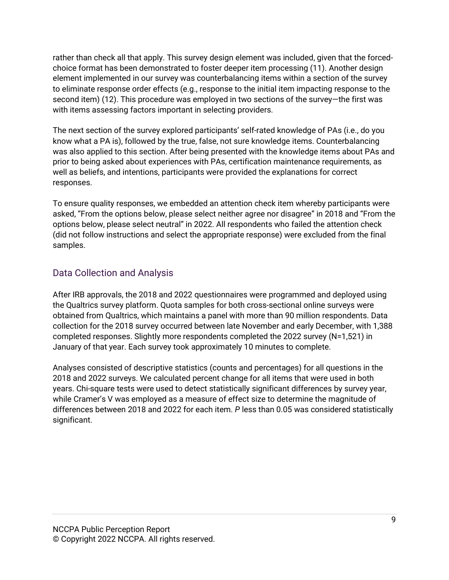rather than check all that apply. This survey design element was included, given that the forcedchoice format has been demonstrated to foster deeper item processing (11). Another design element implemented in our survey was counterbalancing items within a section of the survey to eliminate response order effects (e.g., response to the initial item impacting response to the second item) (12). This procedure was employed in two sections of the survey—the first was with items assessing factors important in selecting providers.

The next section of the survey explored participants' self-rated knowledge of PAs (i.e., do you know what a PA is), followed by the true, false, not sure knowledge items. Counterbalancing was also applied to this section. After being presented with the knowledge items about PAs and prior to being asked about experiences with PAs, certification maintenance requirements, as well as beliefs, and intentions, participants were provided the explanations for correct responses.

To ensure quality responses, we embedded an attention check item whereby participants were asked, "From the options below, please select neither agree nor disagree" in 2018 and "From the options below, please select neutral" in 2022. All respondents who failed the attention check (did not follow instructions and select the appropriate response) were excluded from the final samples.

### <span id="page-8-0"></span>Data Collection and Analysis

After IRB approvals, the 2018 and 2022 questionnaires were programmed and deployed using the Qualtrics survey platform. Quota samples for both cross-sectional online surveys were obtained from Qualtrics, which maintains a panel with more than 90 million respondents. Data collection for the 2018 survey occurred between late November and early December, with 1,388 completed responses. Slightly more respondents completed the 2022 survey (N=1,521) in January of that year. Each survey took approximately 10 minutes to complete.

Analyses consisted of descriptive statistics (counts and percentages) for all questions in the 2018 and 2022 surveys. We calculated percent change for all items that were used in both years. Chi-square tests were used to detect statistically significant differences by survey year, while Cramer's V was employed as a measure of effect size to determine the magnitude of differences between 2018 and 2022 for each item. *P* less than 0.05 was considered statistically significant.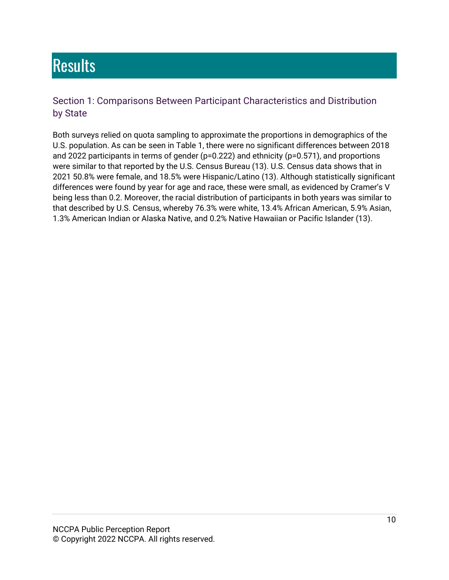# <span id="page-9-0"></span>**Results**

### <span id="page-9-2"></span><span id="page-9-1"></span>Section 1: Comparisons Between Participant Characteristics and Distribution by State

Both surveys relied on quota sampling to approximate the proportions in demographics of the U.S. population. As can be seen in Table 1, there were no significant differences between 2018 and 2022 participants in terms of gender (p=0.222) and ethnicity (p=0.571), and proportions were similar to that reported by the U.S. Census Bureau (13). U.S. Census data shows that in 2021 50.8% were female, and 18.5% were Hispanic/Latino (13). Although statistically significant differences were found by year for age and race, these were small, as evidenced by Cramer's V being less than 0.2. Moreover, the racial distribution of participants in both years was similar to that described by U.S. Census, whereby 76.3% were white, 13.4% African American, 5.9% Asian, 1.3% American Indian or Alaska Native, and 0.2% Native Hawaiian or Pacific Islander (13).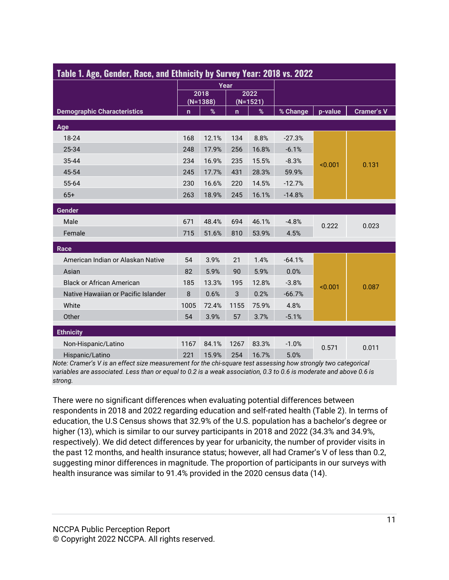| Table 1. Age, Gender, Race, and Ethnicity by Survey Year: 2018 vs. 2022 |             |                    |                    |       |          |         |                   |
|-------------------------------------------------------------------------|-------------|--------------------|--------------------|-------|----------|---------|-------------------|
|                                                                         |             |                    | Year               |       |          |         |                   |
|                                                                         |             | 2018<br>$(N=1388)$ | 2022<br>$(N=1521)$ |       |          |         |                   |
| <b>Demographic Characteristics</b>                                      | $\mathbf n$ | $\%$               | n                  | $\%$  | % Change | p-value | <b>Cramer's V</b> |
| Age                                                                     |             |                    |                    |       |          |         |                   |
| 18-24                                                                   | 168         | 12.1%              | 134                | 8.8%  | $-27.3%$ |         |                   |
| 25-34                                                                   | 248         | 17.9%              | 256                | 16.8% | $-6.1%$  |         |                   |
| 35-44                                                                   | 234         | 16.9%              | 235                | 15.5% | $-8.3%$  | < 0.001 | 0.131             |
| 45-54                                                                   | 245         | 17.7%              | 431                | 28.3% | 59.9%    |         |                   |
| 55-64                                                                   | 230         | 16.6%              | 220                | 14.5% | $-12.7%$ |         |                   |
| $65+$                                                                   | 263         | 18.9%              | 245                | 16.1% | $-14.8%$ |         |                   |
| Gender                                                                  |             |                    |                    |       |          |         |                   |
| Male                                                                    | 671         | 48.4%              | 694                | 46.1% | $-4.8%$  | 0.222   | 0.023             |
| Female                                                                  | 715         | 51.6%              | 810                | 53.9% | 4.5%     |         |                   |
| Race                                                                    |             |                    |                    |       |          |         |                   |
| American Indian or Alaskan Native                                       | 54          | 3.9%               | 21                 | 1.4%  | $-64.1%$ |         |                   |
| Asian                                                                   | 82          | 5.9%               | 90                 | 5.9%  | 0.0%     |         |                   |
| <b>Black or African American</b>                                        | 185         | 13.3%              | 195                | 12.8% | $-3.8%$  | < 0.001 | 0.087             |
| Native Hawaiian or Pacific Islander                                     | 8           | 0.6%               | 3                  | 0.2%  | $-66.7%$ |         |                   |
| White                                                                   | 1005        | 72.4%              | 1155               | 75.9% | 4.8%     |         |                   |
| Other                                                                   | 54          | 3.9%               | 57                 | 3.7%  | $-5.1%$  |         |                   |
| <b>Ethnicity</b>                                                        |             |                    |                    |       |          |         |                   |
| Non-Hispanic/Latino                                                     | 1167        | 84.1%              | 1267               | 83.3% | $-1.0%$  | 0.571   | 0.011             |
| Hispanic/Latino                                                         | 221         | 15.9%              | 254                | 16.7% | 5.0%     |         |                   |

*Note: Cramer's V is an effect size measurement for the chi-square test assessing how strongly two categorical variables are associated. Less than or equal to 0.2 is a weak association, 0.3 to 0.6 is moderate and above 0.6 is strong.*

There were no significant differences when evaluating potential differences between respondents in 2018 and 2022 regarding education and self-rated health (Table 2). In terms of education, the U.S Census shows that 32.9% of the U.S. population has a bachelor's degree or higher (13), which is similar to our survey participants in 2018 and 2022 (34.3% and 34.9%, respectively). We did detect differences by year for urbanicity, the number of provider visits in the past 12 months, and health insurance status; however, all had Cramer's V of less than 0.2, suggesting minor differences in magnitude. The proportion of participants in our surveys with health insurance was similar to 91.4% provided in the 2020 census data (14).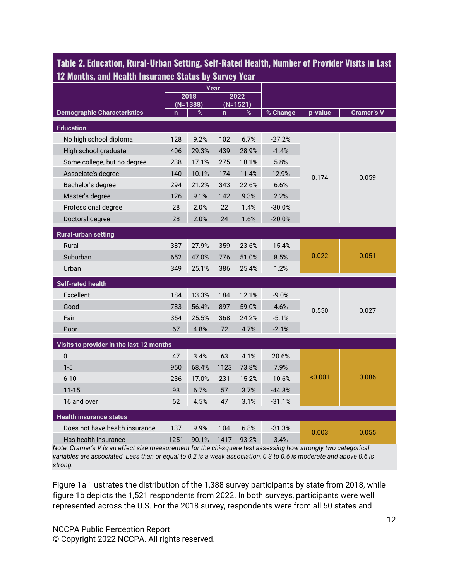| 12 Months, and Health Insurance Status by Survey Year |             |       |              |            |          |         |            |  |
|-------------------------------------------------------|-------------|-------|--------------|------------|----------|---------|------------|--|
|                                                       |             | 2018  | Year         | 2022       |          |         |            |  |
|                                                       | $(N=1388)$  |       |              | $(N=1521)$ |          |         |            |  |
| <b>Demographic Characteristics</b>                    | $\mathbf n$ | %     | $\mathbf{n}$ | %          | % Change | p-value | Cramer's V |  |
| <b>Education</b>                                      |             |       |              |            |          |         |            |  |
| No high school diploma                                | 128         | 9.2%  | 102          | 6.7%       | $-27.2%$ |         |            |  |
| High school graduate                                  | 406         | 29.3% | 439          | 28.9%      | $-1.4%$  |         |            |  |
| Some college, but no degree                           | 238         | 17.1% | 275          | 18.1%      | 5.8%     |         |            |  |
| Associate's degree                                    | 140         | 10.1% | 174          | 11.4%      | 12.9%    | 0.174   | 0.059      |  |
| Bachelor's degree                                     | 294         | 21.2% | 343          | 22.6%      | 6.6%     |         |            |  |
| Master's degree                                       | 126         | 9.1%  | 142          | 9.3%       | 2.2%     |         |            |  |
| Professional degree                                   | 28          | 2.0%  | 22           | 1.4%       | $-30.0%$ |         |            |  |
| Doctoral degree                                       | 28          | 2.0%  | 24           | 1.6%       | $-20.0%$ |         |            |  |
| <b>Rural-urban setting</b>                            |             |       |              |            |          |         |            |  |
| Rural                                                 | 387         | 27.9% | 359          | 23.6%      | $-15.4%$ |         |            |  |
| Suburban                                              | 652         | 47.0% | 776          | 51.0%      | 8.5%     | 0.022   | 0.051      |  |
| Urban                                                 | 349         | 25.1% | 386          | 25.4%      | 1.2%     |         |            |  |
| <b>Self-rated health</b>                              |             |       |              |            |          |         |            |  |
| Excellent                                             | 184         | 13.3% | 184          | 12.1%      | $-9.0%$  |         |            |  |
| Good                                                  | 783         | 56.4% | 897          | 59.0%      | 4.6%     | 0.550   | 0.027      |  |
| Fair                                                  | 354         | 25.5% | 368          | 24.2%      | $-5.1%$  |         |            |  |
| Poor                                                  | 67          | 4.8%  | 72           | 4.7%       | $-2.1%$  |         |            |  |
| Visits to provider in the last 12 months              |             |       |              |            |          |         |            |  |
| $\Omega$                                              | 47          | 3.4%  | 63           | 4.1%       | 20.6%    |         |            |  |
| $1 - 5$                                               | 950         | 68.4% | 1123         | 73.8%      | 7.9%     |         |            |  |
| $6 - 10$                                              | 236         | 17.0% | 231          | 15.2%      | $-10.6%$ | < 0.001 | 0.086      |  |
| $11 - 15$                                             | 93          | 6.7%  | 57           | 3.7%       | $-44.8%$ |         |            |  |
| 16 and over                                           | 62          | 4.5%  | 47           | 3.1%       | $-31.1%$ |         |            |  |
| <b>Health insurance status</b>                        |             |       |              |            |          |         |            |  |
| Does not have health insurance                        | 137         | 9.9%  | 104          | 6.8%       | $-31.3%$ |         |            |  |
| Has health insurance                                  | 1251        | 90.1% | 1417         | 93.2%      | 3.4%     | 0.003   | 0.055      |  |

**Table 2. Education, Rural-Urban Setting, Self-Rated Health, Number of Provider Visits in Last 12 Months, and Health Insurance Status by Survey Year**

*Note: Cramer's V is an effect size measurement for the chi-square test assessing how strongly two categorical variables are associated. Less than or equal to 0.2 is a weak association, 0.3 to 0.6 is moderate and above 0.6 is strong.*

Figure 1a illustrates the distribution of the 1,388 survey participants by state from 2018, while figure 1b depicts the 1,521 respondents from 2022. In both surveys, participants were well represented across the U.S. For the 2018 survey, respondents were from all 50 states and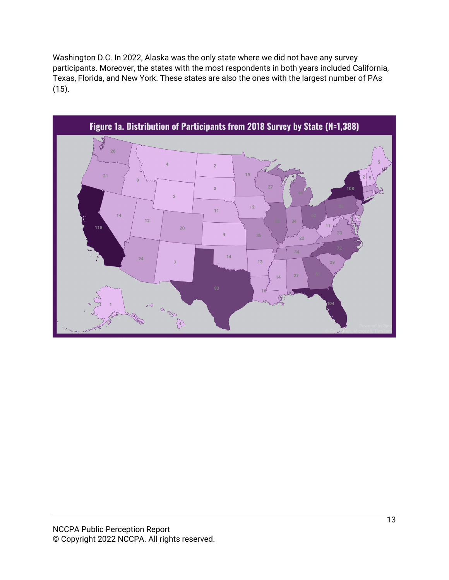Washington D.C. In 2022, Alaska was the only state where we did not have any survey participants. Moreover, the states with the most respondents in both years included California, Texas, Florida, and New York. These states are also the ones with the largest number of PAs (15).

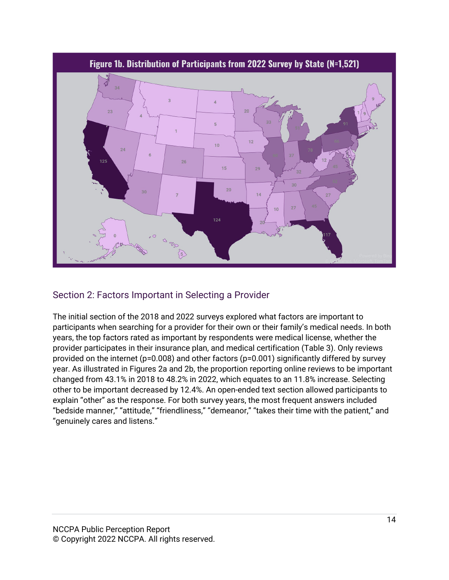

### <span id="page-13-0"></span>Section 2: Factors Important in Selecting a Provider

The initial section of the 2018 and 2022 surveys explored what factors are important to participants when searching for a provider for their own or their family's medical needs. In both years, the top factors rated as important by respondents were medical license, whether the provider participates in their insurance plan, and medical certification (Table 3). Only reviews provided on the internet (p=0.008) and other factors (p=0.001) significantly differed by survey year. As illustrated in Figures 2a and 2b, the proportion reporting online reviews to be important changed from 43.1% in 2018 to 48.2% in 2022, which equates to an 11.8% increase. Selecting other to be important decreased by 12.4%. An open-ended text section allowed participants to explain "other" as the response. For both survey years, the most frequent answers included "bedside manner," "attitude," "friendliness," "demeanor," "takes their time with the patient," and "genuinely cares and listens."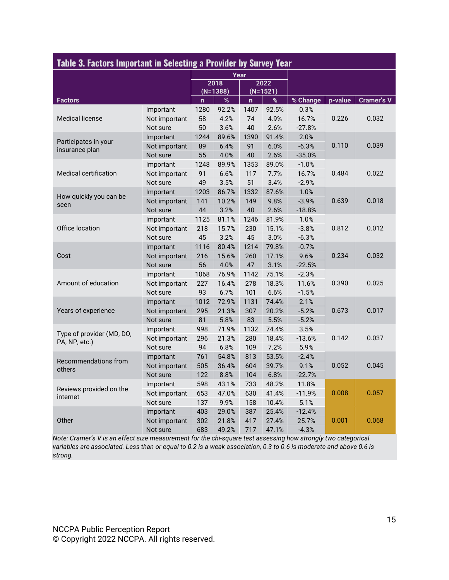| Table 3. Factors Important in Selecting a Provider by Survey Year |               |                      |            |      |            |          |         |                   |
|-------------------------------------------------------------------|---------------|----------------------|------------|------|------------|----------|---------|-------------------|
|                                                                   |               |                      |            |      |            |          |         |                   |
|                                                                   |               | Year<br>2018<br>2022 |            |      |            |          |         |                   |
|                                                                   |               |                      | $(N=1388)$ |      | $(N=1521)$ |          |         |                   |
| <b>Factors</b>                                                    |               | $\mathsf{n}$         | $\%$       | n    | $\%$       | % Change | p-value | <b>Cramer's V</b> |
|                                                                   | Important     | 1280                 | 92.2%      | 1407 | 92.5%      | 0.3%     |         |                   |
| <b>Medical license</b>                                            | Not important | 58                   | 4.2%       | 74   | 4.9%       | 16.7%    | 0.226   | 0.032             |
|                                                                   | Not sure      | 50                   | 3.6%       | 40   | 2.6%       | $-27.8%$ |         |                   |
|                                                                   | Important     | 1244                 | 89.6%      | 1390 | 91.4%      | 2.0%     |         |                   |
| Participates in your<br>insurance plan                            | Not important | 89                   | 6.4%       | 91   | 6.0%       | $-6.3%$  | 0.110   | 0.039             |
|                                                                   | Not sure      | 55                   | 4.0%       | 40   | 2.6%       | $-35.0%$ |         |                   |
|                                                                   | Important     | 1248                 | 89.9%      | 1353 | 89.0%      | $-1.0%$  |         |                   |
| <b>Medical certification</b>                                      | Not important | 91                   | 6.6%       | 117  | 7.7%       | 16.7%    | 0.484   | 0.022             |
|                                                                   | Not sure      | 49                   | 3.5%       | 51   | 3.4%       | $-2.9%$  |         |                   |
|                                                                   | Important     | 1203                 | 86.7%      | 1332 | 87.6%      | 1.0%     |         | 0.018             |
| How quickly you can be                                            | Not important | 141                  | 10.2%      | 149  | 9.8%       | $-3.9%$  | 0.639   |                   |
| seen                                                              | Not sure      | 44                   | 3.2%       | 40   | 2.6%       | $-18.8%$ |         |                   |
|                                                                   | Important     | 1125                 | 81.1%      | 1246 | 81.9%      | 1.0%     |         |                   |
| Office location                                                   | Not important | 218                  | 15.7%      | 230  | 15.1%      | $-3.8%$  | 0.812   | 0.012             |
|                                                                   | Not sure      | 45                   | 3.2%       | 45   | 3.0%       | $-6.3%$  |         |                   |
|                                                                   | Important     | 1116                 | 80.4%      | 1214 | 79.8%      | $-0.7%$  |         | 0.032             |
| Cost                                                              | Not important | 216                  | 15.6%      | 260  | 17.1%      | 9.6%     | 0.234   |                   |
|                                                                   | Not sure      | 56                   | 4.0%       | 47   | 3.1%       | $-22.5%$ |         |                   |
|                                                                   | Important     | 1068                 | 76.9%      | 1142 | 75.1%      | $-2.3%$  |         | 0.025             |
| Amount of education                                               | Not important | 227                  | 16.4%      | 278  | 18.3%      | 11.6%    | 0.390   |                   |
|                                                                   | Not sure      | 93                   | 6.7%       | 101  | 6.6%       | $-1.5%$  |         |                   |
|                                                                   | Important     | 1012                 | 72.9%      | 1131 | 74.4%      | 2.1%     |         |                   |
| Years of experience                                               | Not important | 295                  | 21.3%      | 307  | 20.2%      | $-5.2%$  | 0.673   | 0.017             |
|                                                                   | Not sure      | 81                   | 5.8%       | 83   | 5.5%       | $-5.2%$  |         |                   |
|                                                                   | Important     | 998                  | 71.9%      | 1132 | 74.4%      | 3.5%     |         |                   |
| Type of provider (MD, DO,<br>PA, NP, etc.)                        | Not important | 296                  | 21.3%      | 280  | 18.4%      | $-13.6%$ | 0.142   | 0.037             |
|                                                                   | Not sure      | 94                   | 6.8%       | 109  | 7.2%       | 5.9%     |         |                   |
|                                                                   | Important     | 761                  | 54.8%      | 813  | 53.5%      | $-2.4%$  |         |                   |
| Recommendations from                                              | Not important | 505                  | 36.4%      | 604  | 39.7%      | 9.1%     | 0.052   | 0.045             |
| others                                                            | Not sure      | 122                  | 8.8%       | 104  | 6.8%       | $-22.7%$ |         |                   |
|                                                                   | Important     | 598                  | 43.1%      | 733  | 48.2%      | 11.8%    |         |                   |
| Reviews provided on the                                           | Not important | 653                  | 47.0%      | 630  | 41.4%      | $-11.9%$ | 0.008   | 0.057             |
| internet                                                          | Not sure      | 137                  | 9.9%       | 158  | 10.4%      | 5.1%     |         |                   |
|                                                                   | Important     | 403                  | 29.0%      | 387  | 25.4%      | $-12.4%$ |         |                   |
| Other                                                             | Not important | 302                  | 21.8%      | 417  | 27.4%      | 25.7%    | 0.001   | 0.068             |
|                                                                   | Not sure      | 683                  | 49.2%      | 717  | 47.1%      | $-4.3%$  |         |                   |

*Note: Cramer's V is an effect size measurement for the chi-square test assessing how strongly two categorical variables are associated. Less than or equal to 0.2 is a weak association, 0.3 to 0.6 is moderate and above 0.6 is strong.*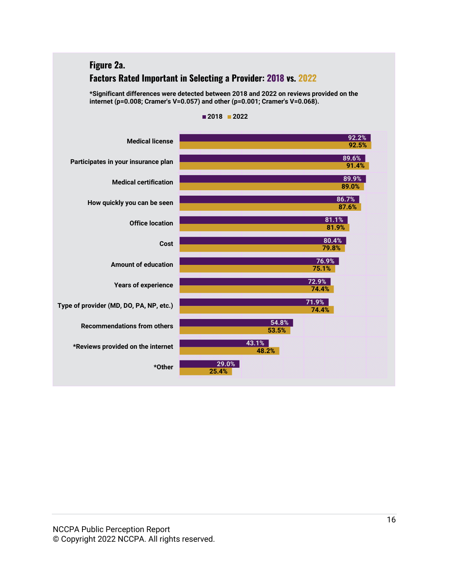### **Figure 2a. Factors Rated Important in Selecting a Provider: 2018 vs. 2022**

**\*Significant differences were detected between 2018 and 2022 on reviews provided on the internet (p=0.008; Cramer's V=0.057) and other (p=0.001; Cramer's V=0.068).**



**2018 2022**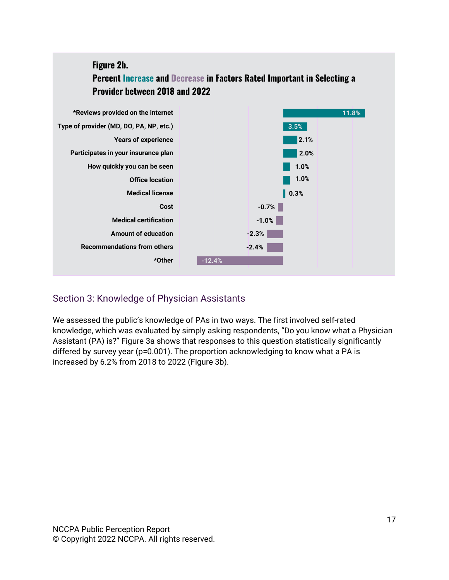## **Figure 2b. Percent Increase and Decrease in Factors Rated Important in Selecting a Provider between 2018 and 2022**



## <span id="page-16-0"></span>Section 3: Knowledge of Physician Assistants

We assessed the public's knowledge of PAs in two ways. The first involved self-rated knowledge, which was evaluated by simply asking respondents, "Do you know what a Physician Assistant (PA) is?" Figure 3a shows that responses to this question statistically significantly differed by survey year (p=0.001). The proportion acknowledging to know what a PA is increased by 6.2% from 2018 to 2022 (Figure 3b).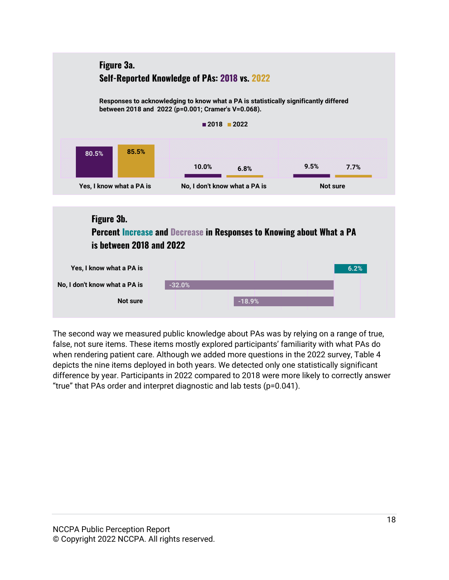

The second way we measured public knowledge about PAs was by relying on a range of true, false, not sure items. These items mostly explored participants' familiarity with what PAs do when rendering patient care. Although we added more questions in the 2022 survey, Table 4 depicts the nine items deployed in both years. We detected only one statistically significant difference by year. Participants in 2022 compared to 2018 were more likely to correctly answer "true" that PAs order and interpret diagnostic and lab tests (p=0.041).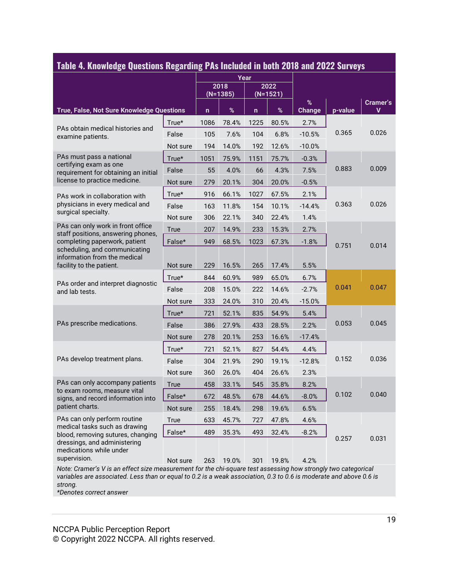| Table 4. Knowledge Questions Regarding PAS Included in both ZU18 and ZUZZ Surveys                                                                                                        |             |              | Year               |              |                    |                    |         |               |
|------------------------------------------------------------------------------------------------------------------------------------------------------------------------------------------|-------------|--------------|--------------------|--------------|--------------------|--------------------|---------|---------------|
|                                                                                                                                                                                          |             |              | 2018<br>$(N=1385)$ |              | 2022<br>$(N=1521)$ |                    |         |               |
| True, False, Not Sure Knowledge Questions                                                                                                                                                |             | $\mathsf{n}$ | $\%$               | $\mathsf{n}$ | $\%$               | %<br><b>Change</b> | p-value | Cramer's<br>v |
|                                                                                                                                                                                          | True*       | 1086         | 78.4%              | 1225         | 80.5%              | 2.7%               |         |               |
| PAs obtain medical histories and<br>examine patients.                                                                                                                                    | False       | 105          | 7.6%               | 104          | 6.8%               | $-10.5%$           | 0.365   | 0.026         |
|                                                                                                                                                                                          | Not sure    | 194          | 14.0%              | 192          | 12.6%              | $-10.0%$           |         |               |
| PAs must pass a national                                                                                                                                                                 | True*       | 1051         | 75.9%              | 1151         | 75.7%              | $-0.3%$            |         |               |
| certifying exam as one<br>requirement for obtaining an initial                                                                                                                           | False       | 55           | 4.0%               | 66           | 4.3%               | 7.5%               | 0.883   | 0.009         |
| license to practice medicine.                                                                                                                                                            | Not sure    | 279          | 20.1%              | 304          | 20.0%              | $-0.5%$            |         |               |
| PAs work in collaboration with                                                                                                                                                           | True*       | 916          | 66.1%              | 1027         | 67.5%              | 2.1%               |         |               |
| physicians in every medical and                                                                                                                                                          | False       | 163          | 11.8%              | 154          | 10.1%              | $-14.4%$           | 0.363   | 0.026         |
| surgical specialty.                                                                                                                                                                      | Not sure    | 306          | 22.1%              | 340          | 22.4%              | 1.4%               |         |               |
| PAs can only work in front office<br>staff positions, answering phones,                                                                                                                  | True        | 207          | 14.9%              | 233          | 15.3%              | 2.7%               |         |               |
| completing paperwork, patient                                                                                                                                                            | False*      | 949          | 68.5%              | 1023         | 67.3%              | $-1.8%$            | 0.751   | 0.014         |
| scheduling, and communicating<br>information from the medical                                                                                                                            |             |              |                    |              |                    |                    |         |               |
| facility to the patient.                                                                                                                                                                 | Not sure    | 229          | 16.5%              | 265          | 17.4%              | 5.5%               |         |               |
| PAs order and interpret diagnostic                                                                                                                                                       | True*       | 844          | 60.9%              | 989          | 65.0%              | 6.7%               |         | 0.047         |
| and lab tests.                                                                                                                                                                           | False       | 208          | 15.0%              | 222          | 14.6%              | $-2.7%$            | 0.041   |               |
|                                                                                                                                                                                          | Not sure    | 333          | 24.0%              | 310          | 20.4%              | $-15.0%$           |         |               |
|                                                                                                                                                                                          | $True*$     | 721          | 52.1%              | 835          | 54.9%              | 5.4%               |         |               |
| PAs prescribe medications.                                                                                                                                                               | False       | 386          | 27.9%              | 433          | 28.5%              | 2.2%               | 0.053   | 0.045         |
|                                                                                                                                                                                          | Not sure    | 278          | 20.1%              | 253          | 16.6%              | $-17.4%$           |         |               |
|                                                                                                                                                                                          | True*       | 721          | 52.1%              | 827          | 54.4%              | 4.4%               |         |               |
| PAs develop treatment plans.                                                                                                                                                             | False       | 304          | 21.9%              | 290          | 19.1%              | $-12.8%$           | 0.152   | 0.036         |
|                                                                                                                                                                                          | Not sure    | 360          | 26.0%              | 404          | 26.6%              | 2.3%               |         |               |
| PAs can only accompany patients                                                                                                                                                          | True        | 458          | 33.1%              | 545          | 35.8%              | 8.2%               |         |               |
| to exam rooms, measure vital<br>signs, and record information into                                                                                                                       | False*      | 672          | 48.5%              | 678          | 44.6%              | $-8.0%$            | 0.102   | 0.040         |
| patient charts.                                                                                                                                                                          | Not sure    | 255          | 18.4%              | 298          | 19.6%              | 6.5%               |         |               |
| PAs can only perform routine                                                                                                                                                             | <b>True</b> | 633          | 45.7%              | 727          | 47.8%              | 4.6%               |         |               |
| medical tasks such as drawing<br>blood, removing sutures, changing                                                                                                                       | False*      | 489          | 35.3%              | 493          | 32.4%              | $-8.2%$            |         |               |
| dressings, and administering<br>medications while under<br>supervision.<br>Note: Cramer's V is an effect size measurement for the chi-square test assessing how strongly two categorical | Not sure    | 263          | 19.0%              | 301          | 19.8%              | 4.2%               | 0.257   | 0.031         |

#### **Table 4. Knowledge Questions Regarding PAs Included in both 2018 and 2022 Surveys**

*variables are associated. Less than or equal to 0.2 is a weak association, 0.3 to 0.6 is moderate and above 0.6 is strong.*

*\*Denotes correct answer*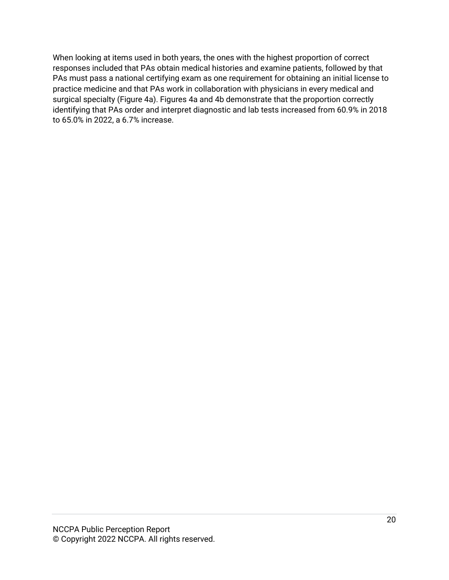When looking at items used in both years, the ones with the highest proportion of correct responses included that PAs obtain medical histories and examine patients, followed by that PAs must pass a national certifying exam as one requirement for obtaining an initial license to practice medicine and that PAs work in collaboration with physicians in every medical and surgical specialty (Figure 4a). Figures 4a and 4b demonstrate that the proportion correctly identifying that PAs order and interpret diagnostic and lab tests increased from 60.9% in 2018 to 65.0% in 2022, a 6.7% increase.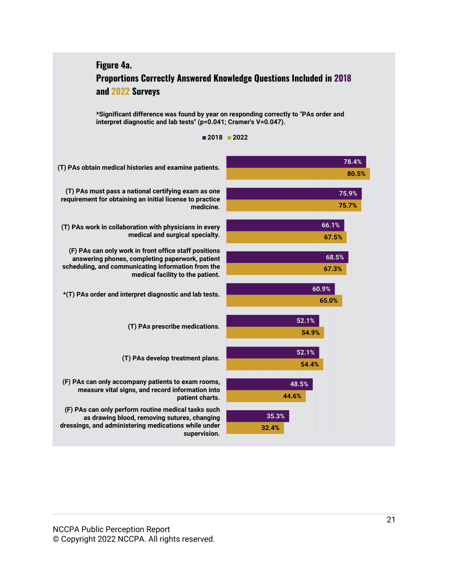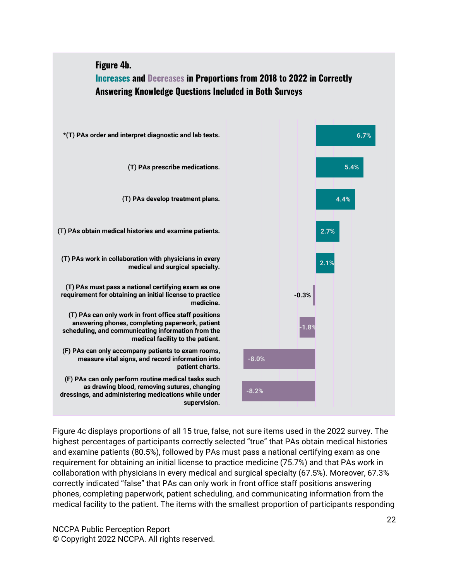

Figure 4c displays proportions of all 15 true, false, not sure items used in the 2022 survey. The highest percentages of participants correctly selected "true" that PAs obtain medical histories and examine patients (80.5%), followed by PAs must pass a national certifying exam as one requirement for obtaining an initial license to practice medicine (75.7%) and that PAs work in collaboration with physicians in every medical and surgical specialty (67.5%). Moreover, 67.3% correctly indicated "false" that PAs can only work in front office staff positions answering phones, completing paperwork, patient scheduling, and communicating information from the medical facility to the patient. The items with the smallest proportion of participants responding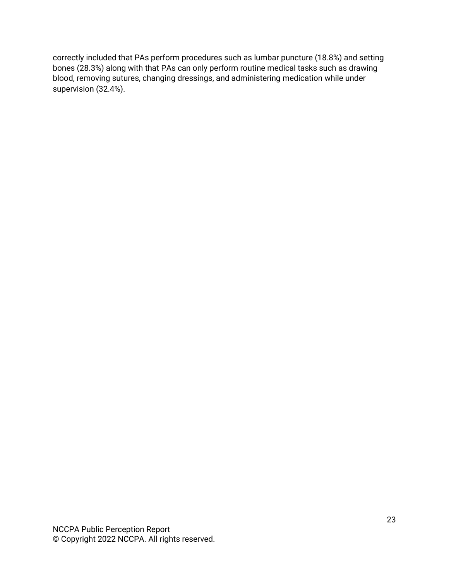correctly included that PAs perform procedures such as lumbar puncture (18.8%) and setting bones (28.3%) along with that PAs can only perform routine medical tasks such as drawing blood, removing sutures, changing dressings, and administering medication while under supervision (32.4%).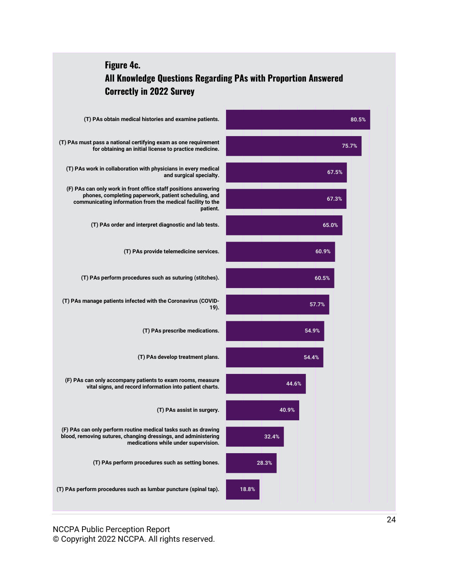

NCCPA Public Perception Report © Copyright 2022 NCCPA. All rights reserved.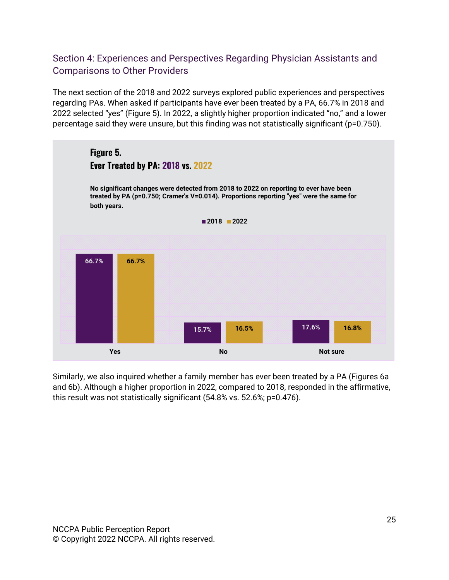### <span id="page-24-1"></span><span id="page-24-0"></span>Section 4: Experiences and Perspectives Regarding Physician Assistants and Comparisons to Other Providers

The next section of the 2018 and 2022 surveys explored public experiences and perspectives regarding PAs. When asked if participants have ever been treated by a PA, 66.7% in 2018 and 2022 selected "yes" (Figure 5). In 2022, a slightly higher proportion indicated "no," and a lower percentage said they were unsure, but this finding was not statistically significant (p=0.750).



Similarly, we also inquired whether a family member has ever been treated by a PA (Figures 6a and 6b). Although a higher proportion in 2022, compared to 2018, responded in the affirmative, this result was not statistically significant (54.8% vs. 52.6%; p=0.476).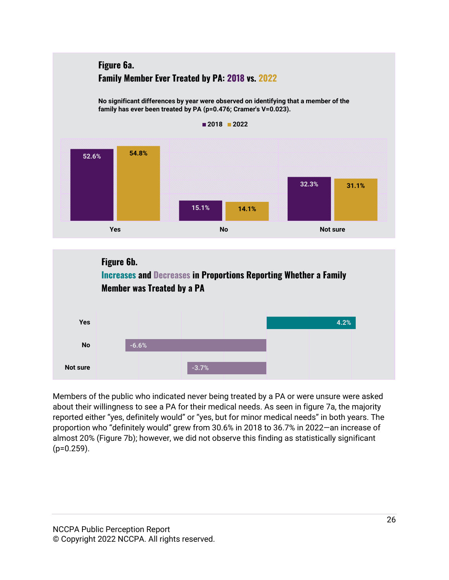

Members of the public who indicated never being treated by a PA or were unsure were asked about their willingness to see a PA for their medical needs. As seen in figure 7a, the majority reported either "yes, definitely would" or "yes, but for minor medical needs" in both years. The proportion who "definitely would" grew from 30.6% in 2018 to 36.7% in 2022—an increase of almost 20% (Figure 7b); however, we did not observe this finding as statistically significant  $(p=0.259)$ .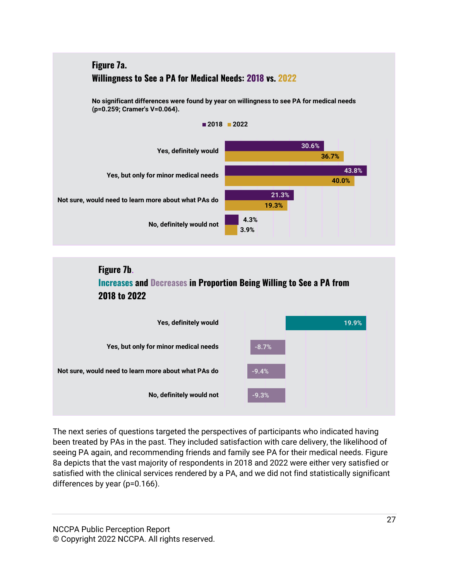





The next series of questions targeted the perspectives of participants who indicated having been treated by PAs in the past. They included satisfaction with care delivery, the likelihood of seeing PA again, and recommending friends and family see PA for their medical needs. Figure 8a depicts that the vast majority of respondents in 2018 and 2022 were either very satisfied or satisfied with the clinical services rendered by a PA, and we did not find statistically significant differences by year (p=0.166).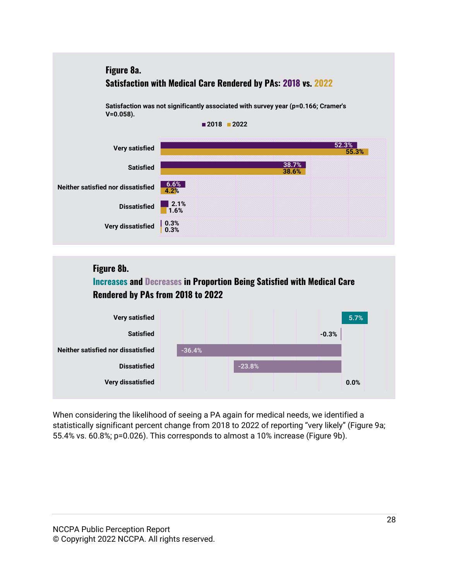



When considering the likelihood of seeing a PA again for medical needs, we identified a statistically significant percent change from 2018 to 2022 of reporting "very likely" (Figure 9a; 55.4% vs. 60.8%; p=0.026). This corresponds to almost a 10% increase (Figure 9b).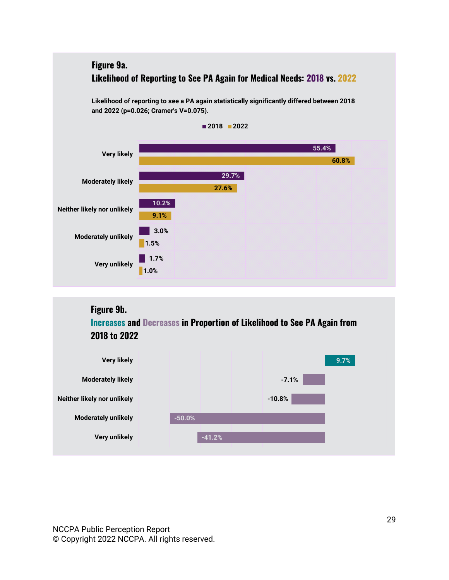

## **Figure 9b. Increases and Decreases in Proportion of Likelihood to See PA Again from 2018 to 2022**



NCCPA Public Perception Report © Copyright 2022 NCCPA. All rights reserved.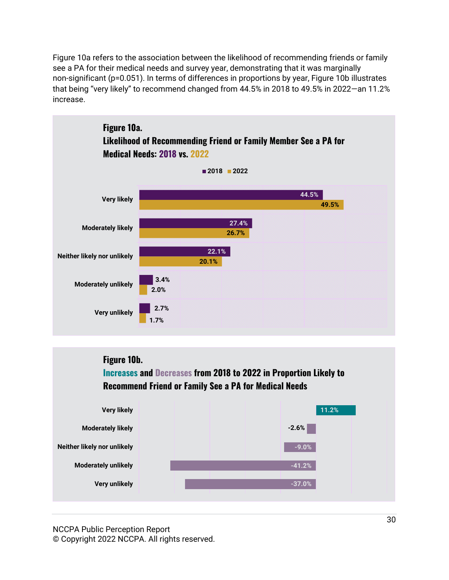Figure 10a refers to the association between the likelihood of recommending friends or family see a PA for their medical needs and survey year, demonstrating that it was marginally non-significant (p=0.051). In terms of differences in proportions by year, Figure 10b illustrates that being "very likely" to recommend changed from 44.5% in 2018 to 49.5% in 2022—an 11.2% increase.



## **Figure 10b.**

**Increases and Decreases from 2018 to 2022 in Proportion Likely to Recommend Friend or Family See a PA for Medical Needs** 



NCCPA Public Perception Report © Copyright 2022 NCCPA. All rights reserved.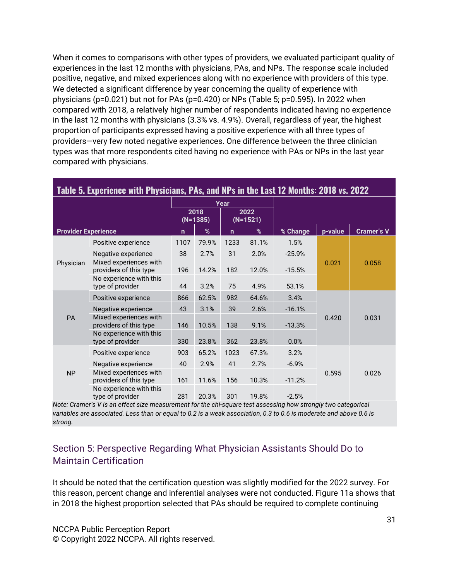When it comes to comparisons with other types of providers, we evaluated participant quality of experiences in the last 12 months with physicians, PAs, and NPs. The response scale included positive, negative, and mixed experiences along with no experience with providers of this type. We detected a significant difference by year concerning the quality of experience with physicians (p=0.021) but not for PAs (p=0.420) or NPs (Table 5; p=0.595). In 2022 when compared with 2018, a relatively higher number of respondents indicated having no experience in the last 12 months with physicians (3.3% vs. 4.9%). Overall, regardless of year, the highest proportion of participants expressed having a positive experience with all three types of providers—very few noted negative experiences. One difference between the three clinician types was that more respondents cited having no experience with PAs or NPs in the last year compared with physicians.

| Table 5. Experience with Physicians, PAs, and NPs in the Last 12 Months: 2018 vs. 2022 |                                                  |                  |       |                  |       |          |         |                   |
|----------------------------------------------------------------------------------------|--------------------------------------------------|------------------|-------|------------------|-------|----------|---------|-------------------|
| Year                                                                                   |                                                  |                  |       |                  |       |          |         |                   |
|                                                                                        |                                                  | 2018<br>(N=1385) |       | 2022<br>(N=1521) |       |          |         |                   |
| <b>Provider Experience</b>                                                             |                                                  | $\mathsf{n}$     | %     | $\mathsf{n}$     | %     | % Change | p-value | <b>Cramer's V</b> |
|                                                                                        | Positive experience                              | 1107             | 79.9% | 1233             | 81.1% | 1.5%     |         |                   |
|                                                                                        | Negative experience                              | 38               | 2.7%  | 31               | 2.0%  | $-25.9%$ |         |                   |
| Physician                                                                              | Mixed experiences with<br>providers of this type | 196              | 14.2% | 182              | 12.0% | $-15.5%$ | 0.021   | 0.058             |
|                                                                                        | No experience with this<br>type of provider      | 44               | 3.2%  | 75               | 4.9%  | 53.1%    |         |                   |
|                                                                                        | Positive experience                              | 866              | 62.5% | 982              | 64.6% | 3.4%     |         |                   |
|                                                                                        | Negative experience                              | 43               | 3.1%  | 39               | 2.6%  | $-16.1%$ |         |                   |
| <b>PA</b>                                                                              | Mixed experiences with<br>providers of this type | 146              | 10.5% | 138              | 9.1%  | $-13.3%$ | 0.420   | 0.031             |
|                                                                                        | No experience with this<br>type of provider      | 330              | 23.8% | 362              | 23.8% | 0.0%     |         |                   |
|                                                                                        | Positive experience                              | 903              | 65.2% | 1023             | 67.3% | 3.2%     |         |                   |
|                                                                                        | Negative experience                              | 40               | 2.9%  | 41               | 2.7%  | $-6.9%$  |         |                   |
| <b>NP</b>                                                                              | Mixed experiences with<br>providers of this type | 161              | 11.6% | 156              | 10.3% | $-11.2%$ | 0.595   | 0.026             |
|                                                                                        | No experience with this<br>type of provider      | 281              | 20.3% | 301              | 19.8% | $-2.5%$  |         |                   |

*Note: Cramer's V is an effect size measurement for the chi-square test assessing how strongly two categorical variables are associated. Less than or equal to 0.2 is a weak association, 0.3 to 0.6 is moderate and above 0.6 is strong.*

### <span id="page-30-0"></span>Section 5: Perspective Regarding What Physician Assistants Should Do to Maintain Certification

It should be noted that the certification question was slightly modified for the 2022 survey. For this reason, percent change and inferential analyses were not conducted. Figure 11a shows that in 2018 the highest proportion selected that PAs should be required to complete continuing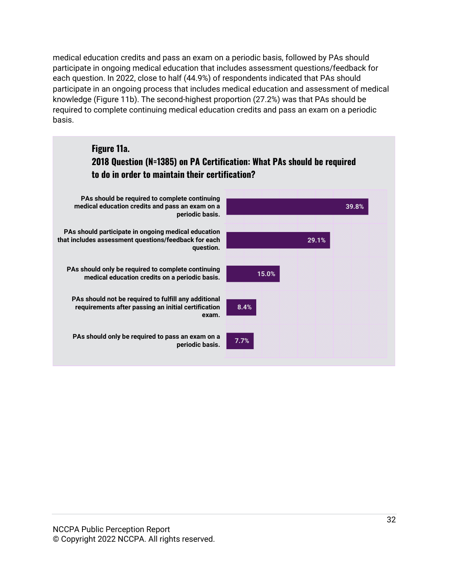medical education credits and pass an exam on a periodic basis, followed by PAs should participate in ongoing medical education that includes assessment questions/feedback for each question. In 2022, close to half (44.9%) of respondents indicated that PAs should participate in an ongoing process that includes medical education and assessment of medical knowledge (Figure 11b). The second-highest proportion (27.2%) was that PAs should be required to complete continuing medical education credits and pass an exam on a periodic basis.

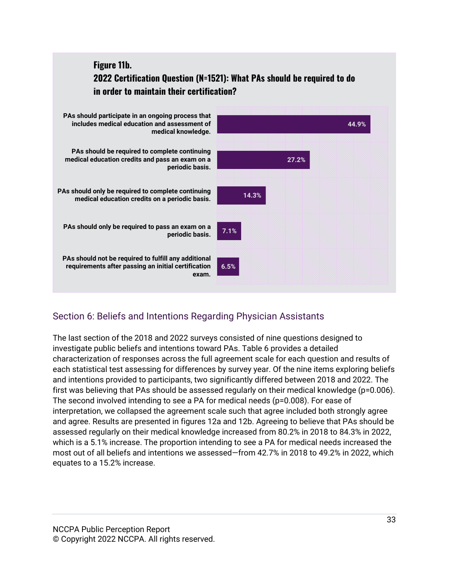## **Figure 11b. 2022 Certification Question (N=1521): What PAs should be required to do in order to maintain their certification?**



### <span id="page-32-0"></span>Section 6: Beliefs and Intentions Regarding Physician Assistants

The last section of the 2018 and 2022 surveys consisted of nine questions designed to investigate public beliefs and intentions toward PAs. Table 6 provides a detailed characterization of responses across the full agreement scale for each question and results of each statistical test assessing for differences by survey year. Of the nine items exploring beliefs and intentions provided to participants, two significantly differed between 2018 and 2022. The first was believing that PAs should be assessed regularly on their medical knowledge (p=0.006). The second involved intending to see a PA for medical needs (p=0.008). For ease of interpretation, we collapsed the agreement scale such that agree included both strongly agree and agree. Results are presented in figures 12a and 12b. Agreeing to believe that PAs should be assessed regularly on their medical knowledge increased from 80.2% in 2018 to 84.3% in 2022, which is a 5.1% increase. The proportion intending to see a PA for medical needs increased the most out of all beliefs and intentions we assessed—from 42.7% in 2018 to 49.2% in 2022, which equates to a 15.2% increase.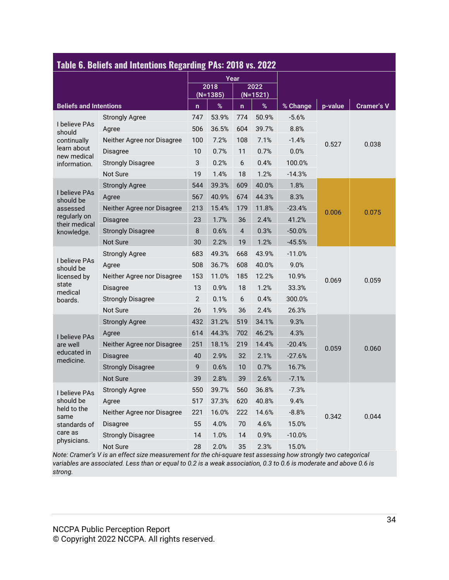| Table 6. Beliefs and Intentions Regarding PAs: 2018 vs. 2022 |                            |                |                    |                |                    |          |         |                   |
|--------------------------------------------------------------|----------------------------|----------------|--------------------|----------------|--------------------|----------|---------|-------------------|
|                                                              |                            |                |                    | Year           |                    |          |         |                   |
|                                                              |                            |                | 2018<br>$(N=1385)$ |                | 2022<br>$(N=1521)$ |          |         |                   |
| <b>Beliefs and Intentions</b>                                |                            | $\mathsf{n}$   | $\%$               | $\mathbf n$    | $\%$               | % Change | p-value | <b>Cramer's V</b> |
|                                                              | <b>Strongly Agree</b>      | 747            | 53.9%              | 774            | 50.9%              | $-5.6%$  |         |                   |
| I believe PAs<br>should                                      | Agree                      | 506            | 36.5%              | 604            | 39.7%              | 8.8%     |         |                   |
| continually                                                  | Neither Agree nor Disagree | 100            | 7.2%               | 108            | 7.1%               | $-1.4%$  | 0.527   | 0.038             |
| learn about<br>new medical                                   | <b>Disagree</b>            | 10             | 0.7%               | 11             | 0.7%               | 0.0%     |         |                   |
| information.                                                 | <b>Strongly Disagree</b>   | 3              | 0.2%               | 6              | 0.4%               | 100.0%   |         |                   |
|                                                              | <b>Not Sure</b>            | 19             | 1.4%               | 18             | 1.2%               | $-14.3%$ |         |                   |
|                                                              | <b>Strongly Agree</b>      | 544            | 39.3%              | 609            | 40.0%              | 1.8%     |         |                   |
| I believe PAs<br>should be                                   | Agree                      | 567            | 40.9%              | 674            | 44.3%              | 8.3%     |         | 0.075             |
| assessed                                                     | Neither Agree nor Disagree | 213            | 15.4%              | 179            | 11.8%              | $-23.4%$ | 0.006   |                   |
| regularly on<br>their medical                                | <b>Disagree</b>            | 23             | 1.7%               | 36             | 2.4%               | 41.2%    |         |                   |
| knowledge.                                                   | <b>Strongly Disagree</b>   | 8              | 0.6%               | $\overline{4}$ | 0.3%               | $-50.0%$ |         |                   |
|                                                              | Not Sure                   | 30             | 2.2%               | 19             | 1.2%               | $-45.5%$ |         |                   |
|                                                              | <b>Strongly Agree</b>      | 683            | 49.3%              | 668            | 43.9%              | $-11.0%$ | 0.069   | 0.059             |
| I believe PAs<br>should be                                   | Agree                      | 508            | 36.7%              | 608            | 40.0%              | 9.0%     |         |                   |
| licensed by                                                  | Neither Agree nor Disagree | 153            | 11.0%              | 185            | 12.2%              | 10.9%    |         |                   |
| state<br>medical                                             | <b>Disagree</b>            | 13             | 0.9%               | 18             | 1.2%               | 33.3%    |         |                   |
| boards.                                                      | <b>Strongly Disagree</b>   | $\overline{2}$ | 0.1%               | 6              | 0.4%               | 300.0%   |         |                   |
|                                                              | <b>Not Sure</b>            | 26             | 1.9%               | 36             | 2.4%               | 26.3%    |         |                   |
|                                                              | <b>Strongly Agree</b>      | 432            | 31.2%              | 519            | 34.1%              | 9.3%     |         |                   |
| I believe PAs                                                | Agree                      | 614            | 44.3%              | 702            | 46.2%              | 4.3%     |         |                   |
| are well                                                     | Neither Agree nor Disagree | 251            | 18.1%              | 219            | 14.4%              | $-20.4%$ | 0.059   | 0.060             |
| educated in<br>medicine.                                     | Disagree                   | 40             | 2.9%               | 32             | 2.1%               | $-27.6%$ |         |                   |
|                                                              | <b>Strongly Disagree</b>   | 9              | 0.6%               | 10             | 0.7%               | 16.7%    |         |                   |
|                                                              | Not Sure                   | 39             | 2.8%               | 39             | 2.6%               | $-7.1%$  |         |                   |
| I believe PAs                                                | <b>Strongly Agree</b>      | 550            | 39.7%              | 560            | 36.8%              | $-7.3%$  |         |                   |
| should be                                                    | Agree                      | 517            | 37.3%              | 620            | 40.8%              | 9.4%     |         |                   |
| held to the<br>same                                          | Neither Agree nor Disagree | 221            | 16.0%              | 222            | 14.6%              | $-8.8%$  | 0.342   | 0.044             |
| standards of                                                 | Disagree                   | 55             | 4.0%               | 70             | 4.6%               | 15.0%    |         |                   |
| care as                                                      | <b>Strongly Disagree</b>   | 14             | 1.0%               | 14             | 0.9%               | $-10.0%$ |         |                   |
| physicians.                                                  | Not Sure                   | 28             | 2.0%               | 35             | 2.3%               | 15.0%    |         |                   |

*Note: Cramer's V is an effect size measurement for the chi-square test assessing how strongly two categorical variables are associated. Less than or equal to 0.2 is a weak association, 0.3 to 0.6 is moderate and above 0.6 is strong.*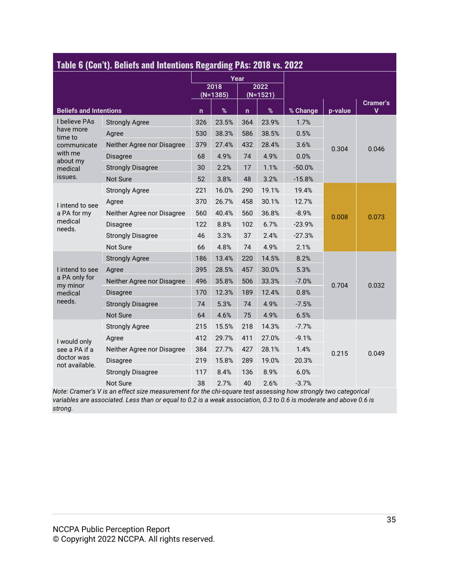| Table 6 (Con't). Beliefs and Intentions Regarding PAs: 2018 vs. 2022 |                            |                    |       |             |                    |          |         |                         |
|----------------------------------------------------------------------|----------------------------|--------------------|-------|-------------|--------------------|----------|---------|-------------------------|
|                                                                      |                            |                    |       | Year        |                    |          |         |                         |
|                                                                      |                            | 2018<br>$(N=1385)$ |       |             | 2022<br>$(N=1521)$ |          |         |                         |
| <b>Beliefs and Intentions</b>                                        |                            | $\mathsf{n}$       | $\%$  | $\mathbf n$ | $\%$               | % Change | p-value | Cramer's<br>$\mathbf v$ |
| I believe PAs                                                        | <b>Strongly Agree</b>      | 326                | 23.5% | 364         | 23.9%              | 1.7%     |         |                         |
| have more<br>time to                                                 | Agree                      | 530                | 38.3% | 586         | 38.5%              | 0.5%     |         |                         |
| communicate                                                          | Neither Agree nor Disagree | 379                | 27.4% | 432         | 28.4%              | 3.6%     | 0.304   | 0.046                   |
| with me<br>about my                                                  | <b>Disagree</b>            | 68                 | 4.9%  | 74          | 4.9%               | 0.0%     |         |                         |
| medical                                                              | <b>Strongly Disagree</b>   | 30                 | 2.2%  | 17          | 1.1%               | $-50.0%$ |         |                         |
| issues.                                                              | <b>Not Sure</b>            | 52                 | 3.8%  | 48          | 3.2%               | $-15.8%$ |         |                         |
|                                                                      | <b>Strongly Agree</b>      | 221                | 16.0% | 290         | 19.1%              | 19.4%    |         | 0.073                   |
| I intend to see                                                      | Agree                      | 370                | 26.7% | 458         | 30.1%              | 12.7%    |         |                         |
| a PA for my                                                          | Neither Agree nor Disagree | 560                | 40.4% | 560         | 36.8%              | $-8.9%$  | 0.008   |                         |
| medical<br>needs.                                                    | <b>Disagree</b>            | 122                | 8.8%  | 102         | 6.7%               | $-23.9%$ |         |                         |
|                                                                      | <b>Strongly Disagree</b>   | 46                 | 3.3%  | 37          | 2.4%               | $-27.3%$ |         |                         |
|                                                                      | Not Sure                   | 66                 | 4.8%  | 74          | 4.9%               | 2.1%     |         |                         |
|                                                                      | <b>Strongly Agree</b>      | 186                | 13.4% | 220         | 14.5%              | 8.2%     |         |                         |
| I intend to see                                                      | Agree                      | 395                | 28.5% | 457         | 30.0%              | 5.3%     |         |                         |
| a PA only for<br>my minor                                            | Neither Agree nor Disagree | 496                | 35.8% | 506         | 33.3%              | $-7.0%$  | 0.704   | 0.032                   |
| medical                                                              | <b>Disagree</b>            | 170                | 12.3% | 189         | 12.4%              | 0.8%     |         |                         |
| needs.                                                               | <b>Strongly Disagree</b>   | 74                 | 5.3%  | 74          | 4.9%               | $-7.5%$  |         |                         |
|                                                                      | Not Sure                   | 64                 | 4.6%  | 75          | 4.9%               | 6.5%     |         |                         |
|                                                                      | <b>Strongly Agree</b>      | 215                | 15.5% | 218         | 14.3%              | $-7.7%$  |         |                         |
| I would only                                                         | Agree                      | 412                | 29.7% | 411         | 27.0%              | $-9.1%$  |         |                         |
| see a PA if a                                                        | Neither Agree nor Disagree | 384                | 27.7% | 427         | 28.1%              | 1.4%     | 0.215   | 0.049                   |
| doctor was<br>not available.                                         | <b>Disagree</b>            | 219                | 15.8% | 289         | 19.0%              | 20.3%    |         |                         |
|                                                                      | <b>Strongly Disagree</b>   | 117                | 8.4%  | 136         | 8.9%               | 6.0%     |         |                         |
|                                                                      | Not Sure                   | 38                 | 2.7%  | 40          | 2.6%               | $-3.7%$  |         |                         |

*Note: Cramer's V is an effect size measurement for the chi-square test assessing how strongly two categorical variables are associated. Less than or equal to 0.2 is a weak association, 0.3 to 0.6 is moderate and above 0.6 is strong.*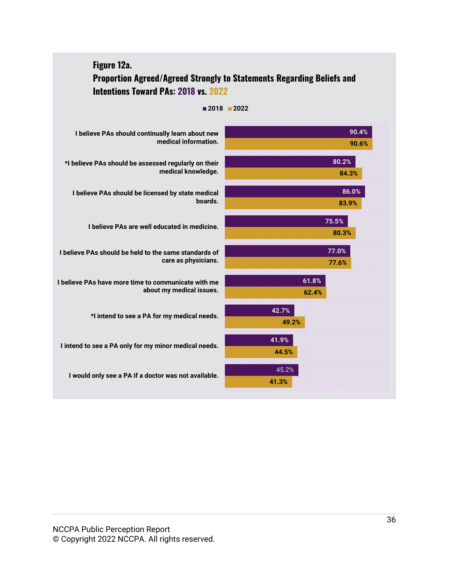| Figure 12a.<br><b>Intentions Toward PAs: 2018 vs. 2022</b>                      | <b>Proportion Agreed/Agreed Strongly to Statements Regarding Beliefs and</b> |
|---------------------------------------------------------------------------------|------------------------------------------------------------------------------|
|                                                                                 | ■2018 ■2022                                                                  |
| I believe PAs should continually learn about new<br>medical information.        | 90.4%<br>90.6%                                                               |
| *I believe PAs should be assessed regularly on their<br>medical knowledge.      | 80.2%<br>84.3%                                                               |
| I believe PAs should be licensed by state medical<br>boards.                    | 86.0%<br>83.9%                                                               |
| I believe PAs are well educated in medicine.                                    | 75.5%<br>80.3%                                                               |
| I believe PAs should be held to the same standards of<br>care as physicians.    | 77.0%<br>77.6%                                                               |
| I believe PAs have more time to communicate with me<br>about my medical issues. | 61.8%<br>62.4%                                                               |
| *I intend to see a PA for my medical needs.                                     | 42.7%<br>49.2%                                                               |
| I intend to see a PA only for my minor medical needs.                           | 41.9%<br>44.5%                                                               |
| I would only see a PA if a doctor was not available.                            | 45.2%<br>41.3%                                                               |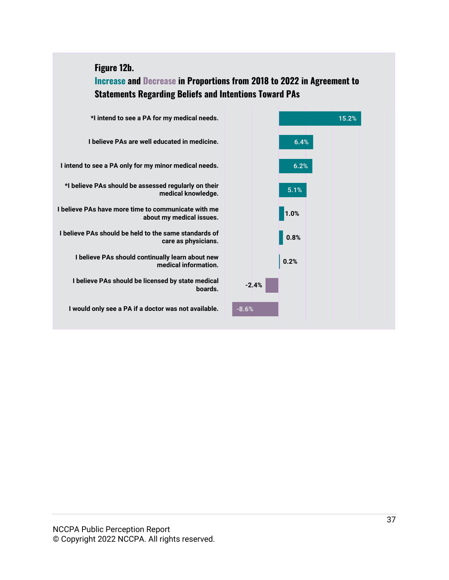#### **Figure 12b.**

**Increase and Decrease in Proportions from 2018 to 2022 in Agreement to Statements Regarding Beliefs and Intentions Toward PAs**